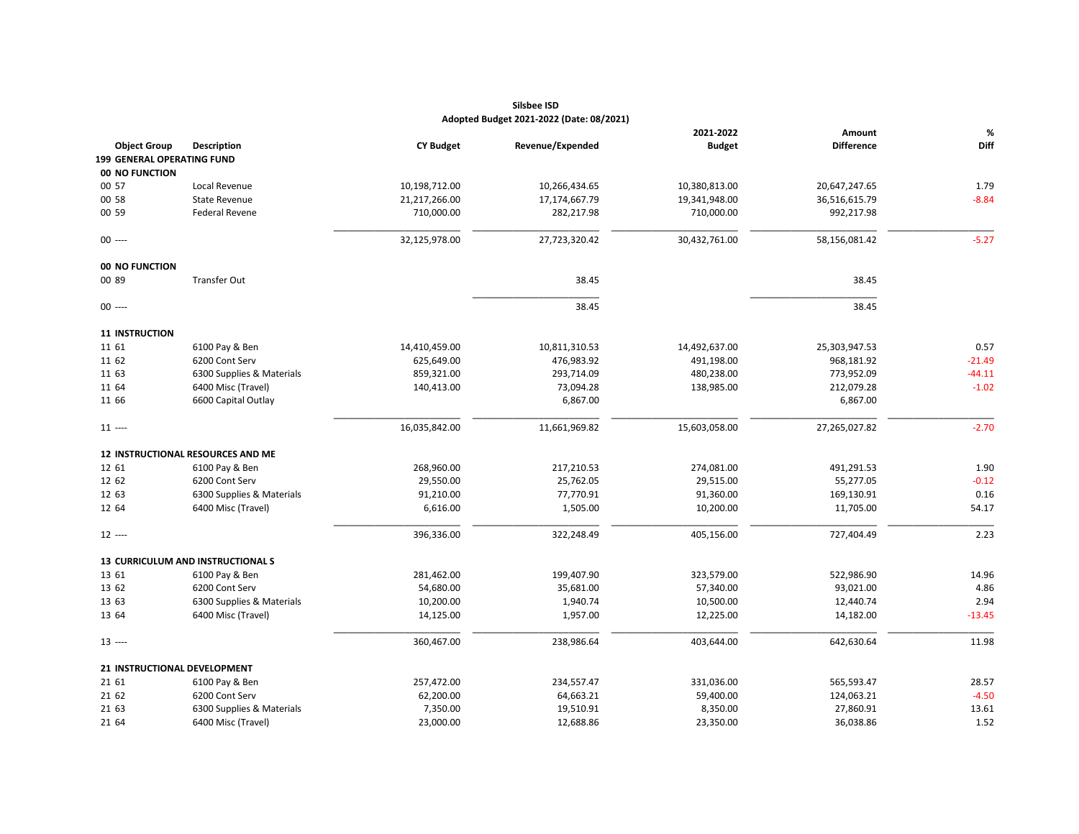|                       |                                   |                  |                  | 2021-2022     | Amount            | $\%$     |
|-----------------------|-----------------------------------|------------------|------------------|---------------|-------------------|----------|
| <b>Object Group</b>   | <b>Description</b>                | <b>CY Budget</b> | Revenue/Expended | <b>Budget</b> | <b>Difference</b> | Diff     |
|                       | 199 GENERAL OPERATING FUND        |                  |                  |               |                   |          |
| 00 NO FUNCTION        |                                   |                  |                  |               |                   |          |
| 00 57                 | Local Revenue                     | 10,198,712.00    | 10,266,434.65    | 10,380,813.00 | 20,647,247.65     | 1.79     |
| 00 58                 | <b>State Revenue</b>              | 21,217,266.00    | 17,174,667.79    | 19,341,948.00 | 36,516,615.79     | $-8.84$  |
| 00 59                 | <b>Federal Revene</b>             | 710,000.00       | 282,217.98       | 710,000.00    | 992,217.98        |          |
| $00$ ----             |                                   | 32,125,978.00    | 27,723,320.42    | 30,432,761.00 | 58,156,081.42     | $-5.27$  |
| 00 NO FUNCTION        |                                   |                  |                  |               |                   |          |
| 00 89                 | <b>Transfer Out</b>               |                  | 38.45            |               | 38.45             |          |
| $00$ ----             |                                   |                  | 38.45            |               | 38.45             |          |
| <b>11 INSTRUCTION</b> |                                   |                  |                  |               |                   |          |
| 11 61                 | 6100 Pay & Ben                    | 14,410,459.00    | 10,811,310.53    | 14,492,637.00 | 25,303,947.53     | 0.57     |
| 11 62                 | 6200 Cont Serv                    | 625,649.00       | 476,983.92       | 491,198.00    | 968,181.92        | $-21.49$ |
| 11 63                 | 6300 Supplies & Materials         | 859,321.00       | 293,714.09       | 480,238.00    | 773,952.09        | $-44.11$ |
| 11 64                 | 6400 Misc (Travel)                | 140,413.00       | 73,094.28        | 138,985.00    | 212,079.28        | $-1.02$  |
| 11 66                 | 6600 Capital Outlay               |                  | 6,867.00         |               | 6,867.00          |          |
| $11$ ----             |                                   | 16,035,842.00    | 11,661,969.82    | 15,603,058.00 | 27,265,027.82     | $-2.70$  |
|                       | 12 INSTRUCTIONAL RESOURCES AND ME |                  |                  |               |                   |          |
| 12 61                 | 6100 Pay & Ben                    | 268,960.00       | 217,210.53       | 274,081.00    | 491,291.53        | 1.90     |
| 12 62                 | 6200 Cont Serv                    | 29,550.00        | 25,762.05        | 29,515.00     | 55,277.05         | $-0.12$  |
| 12 63                 | 6300 Supplies & Materials         | 91,210.00        | 77,770.91        | 91,360.00     | 169,130.91        | 0.16     |
| 12 64                 | 6400 Misc (Travel)                | 6,616.00         | 1,505.00         | 10,200.00     | 11,705.00         | 54.17    |
| $12$ ----             |                                   | 396,336.00       | 322,248.49       | 405,156.00    | 727,404.49        | 2.23     |
|                       | 13 CURRICULUM AND INSTRUCTIONAL S |                  |                  |               |                   |          |
| 13 61                 | 6100 Pay & Ben                    | 281,462.00       | 199,407.90       | 323,579.00    | 522,986.90        | 14.96    |
| 13 62                 | 6200 Cont Serv                    | 54,680.00        | 35,681.00        | 57,340.00     | 93,021.00         | 4.86     |
| 13 63                 | 6300 Supplies & Materials         | 10,200.00        | 1,940.74         | 10,500.00     | 12,440.74         | 2.94     |
| 13 64                 | 6400 Misc (Travel)                | 14,125.00        | 1,957.00         | 12,225.00     | 14,182.00         | $-13.45$ |
| $13$ ----             |                                   | 360,467.00       | 238,986.64       | 403,644.00    | 642,630.64        | 11.98    |
|                       | 21 INSTRUCTIONAL DEVELOPMENT      |                  |                  |               |                   |          |
| 21 61                 | 6100 Pay & Ben                    | 257,472.00       | 234,557.47       | 331,036.00    | 565,593.47        | 28.57    |
| 21 62                 | 6200 Cont Serv                    | 62,200.00        | 64,663.21        | 59,400.00     | 124,063.21        | $-4.50$  |
| 21 63                 | 6300 Supplies & Materials         | 7,350.00         | 19,510.91        | 8,350.00      | 27,860.91         | 13.61    |
| 21 64                 | 6400 Misc (Travel)                | 23,000.00        | 12,688.86        | 23,350.00     | 36,038.86         | 1.52     |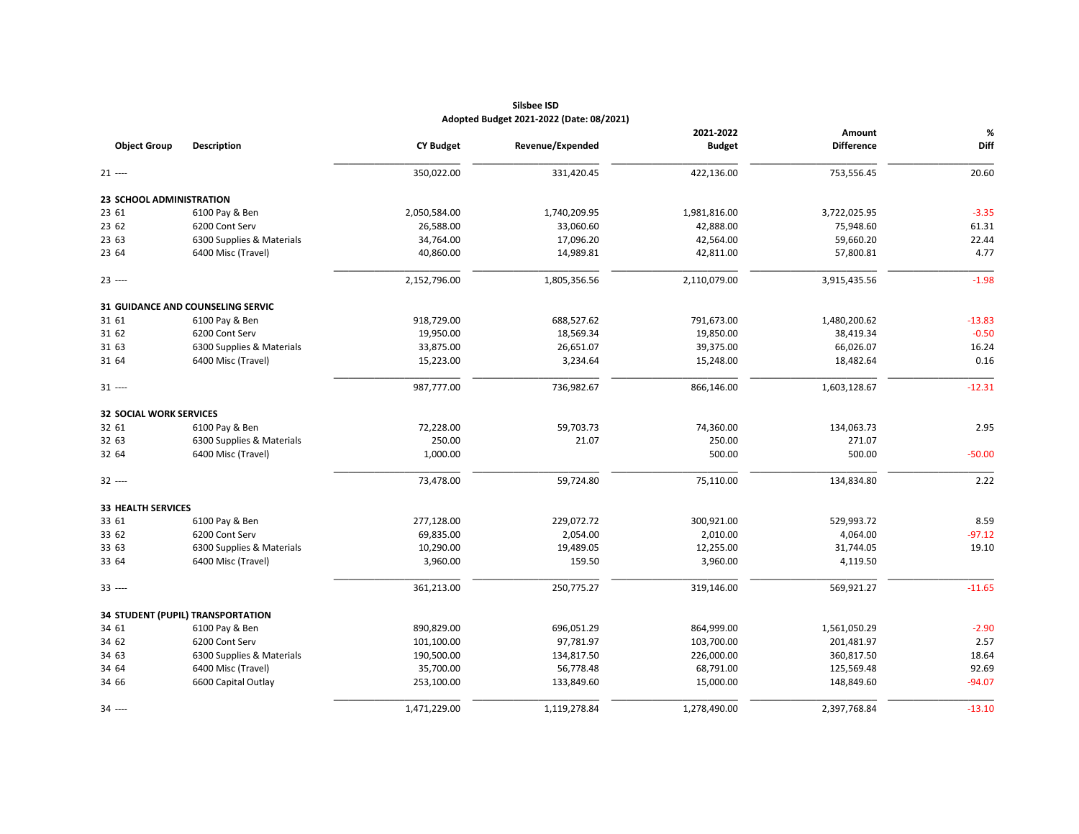|                                 |                                   |                  |                  | 2021-2022     | Amount            | %        |
|---------------------------------|-----------------------------------|------------------|------------------|---------------|-------------------|----------|
| <b>Object Group</b>             | <b>Description</b>                | <b>CY Budget</b> | Revenue/Expended | <b>Budget</b> | <b>Difference</b> | Diff     |
| $21$ ----                       |                                   | 350,022.00       | 331,420.45       | 422,136.00    | 753,556.45        | 20.60    |
| <b>23 SCHOOL ADMINISTRATION</b> |                                   |                  |                  |               |                   |          |
| 23 61                           | 6100 Pay & Ben                    | 2,050,584.00     | 1,740,209.95     | 1,981,816.00  | 3,722,025.95      | $-3.35$  |
| 23 62                           | 6200 Cont Serv                    | 26,588.00        | 33,060.60        | 42,888.00     | 75,948.60         | 61.31    |
| 23 63                           | 6300 Supplies & Materials         | 34,764.00        | 17,096.20        | 42,564.00     | 59,660.20         | 22.44    |
| 23 64                           | 6400 Misc (Travel)                | 40,860.00        | 14,989.81        | 42,811.00     | 57,800.81         | 4.77     |
| $23$ ----                       |                                   | 2,152,796.00     | 1,805,356.56     | 2,110,079.00  | 3,915,435.56      | $-1.98$  |
|                                 | 31 GUIDANCE AND COUNSELING SERVIC |                  |                  |               |                   |          |
| 31 61                           | 6100 Pay & Ben                    | 918,729.00       | 688,527.62       | 791,673.00    | 1,480,200.62      | $-13.83$ |
| 31 62                           | 6200 Cont Serv                    | 19,950.00        | 18,569.34        | 19,850.00     | 38,419.34         | $-0.50$  |
| 31 63                           | 6300 Supplies & Materials         | 33,875.00        | 26,651.07        | 39,375.00     | 66,026.07         | 16.24    |
| 31 64                           | 6400 Misc (Travel)                | 15,223.00        | 3,234.64         | 15,248.00     | 18,482.64         | 0.16     |
| $31 -$                          |                                   | 987,777.00       | 736,982.67       | 866,146.00    | 1,603,128.67      | $-12.31$ |
| <b>32 SOCIAL WORK SERVICES</b>  |                                   |                  |                  |               |                   |          |
| 32 61                           | 6100 Pay & Ben                    | 72,228.00        | 59,703.73        | 74,360.00     | 134,063.73        | 2.95     |
| 32 63                           | 6300 Supplies & Materials         | 250.00           | 21.07            | 250.00        | 271.07            |          |
| 32 64                           | 6400 Misc (Travel)                | 1,000.00         |                  | 500.00        | 500.00            | $-50.00$ |
| $32$ ----                       |                                   | 73,478.00        | 59,724.80        | 75,110.00     | 134,834.80        | 2.22     |
| <b>33 HEALTH SERVICES</b>       |                                   |                  |                  |               |                   |          |
| 33 61                           | 6100 Pay & Ben                    | 277,128.00       | 229,072.72       | 300,921.00    | 529,993.72        | 8.59     |
| 33 62                           | 6200 Cont Serv                    | 69,835.00        | 2,054.00         | 2,010.00      | 4,064.00          | $-97.12$ |
| 33 63                           | 6300 Supplies & Materials         | 10,290.00        | 19,489.05        | 12,255.00     | 31,744.05         | 19.10    |
| 33 64                           | 6400 Misc (Travel)                | 3,960.00         | 159.50           | 3,960.00      | 4,119.50          |          |
| $33$ ----                       |                                   | 361,213.00       | 250,775.27       | 319,146.00    | 569,921.27        | $-11.65$ |
|                                 | 34 STUDENT (PUPIL) TRANSPORTATION |                  |                  |               |                   |          |
| 34 61                           | 6100 Pay & Ben                    | 890,829.00       | 696,051.29       | 864,999.00    | 1,561,050.29      | $-2.90$  |
| 34 62                           | 6200 Cont Serv                    | 101,100.00       | 97,781.97        | 103,700.00    | 201,481.97        | 2.57     |
| 34 63                           | 6300 Supplies & Materials         | 190,500.00       | 134,817.50       | 226,000.00    | 360,817.50        | 18.64    |
| 34 64                           | 6400 Misc (Travel)                | 35,700.00        | 56,778.48        | 68,791.00     | 125,569.48        | 92.69    |
| 34 66                           | 6600 Capital Outlay               | 253,100.00       | 133,849.60       | 15,000.00     | 148,849.60        | $-94.07$ |
| 34 ----                         |                                   | 1,471,229.00     | 1,119,278.84     | 1,278,490.00  | 2,397,768.84      | $-13.10$ |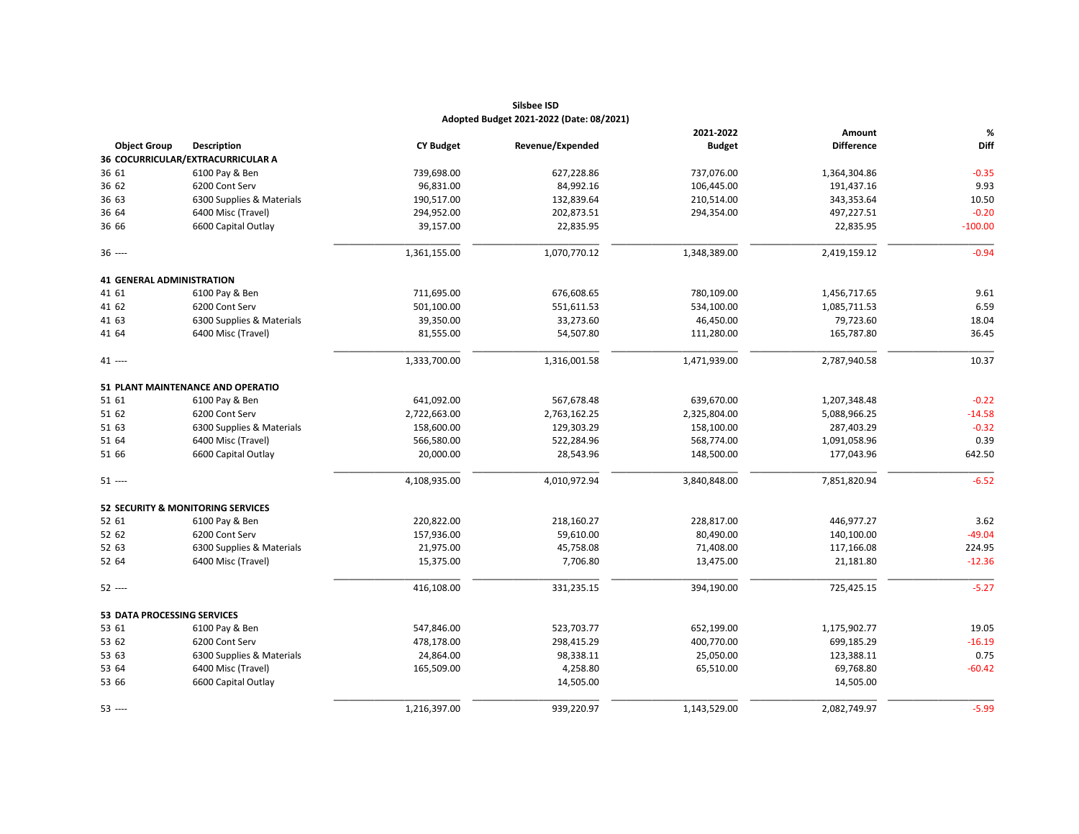|                                    |                                              |                  |                  | 2021-2022     | Amount            | $\%$      |
|------------------------------------|----------------------------------------------|------------------|------------------|---------------|-------------------|-----------|
| <b>Object Group</b>                | <b>Description</b>                           | <b>CY Budget</b> | Revenue/Expended | <b>Budget</b> | <b>Difference</b> | Diff      |
|                                    | 36 COCURRICULAR/EXTRACURRICULAR A            |                  |                  |               |                   |           |
| 36 61                              | 6100 Pay & Ben                               | 739,698.00       | 627,228.86       | 737,076.00    | 1,364,304.86      | $-0.35$   |
| 36 62                              | 6200 Cont Serv                               | 96,831.00        | 84,992.16        | 106,445.00    | 191,437.16        | 9.93      |
| 36 63                              | 6300 Supplies & Materials                    | 190,517.00       | 132,839.64       | 210,514.00    | 343,353.64        | 10.50     |
| 36 64                              | 6400 Misc (Travel)                           | 294,952.00       | 202,873.51       | 294,354.00    | 497,227.51        | $-0.20$   |
| 36 66                              | 6600 Capital Outlay                          | 39,157.00        | 22,835.95        |               | 22,835.95         | $-100.00$ |
| $36$ ----                          |                                              | 1,361,155.00     | 1,070,770.12     | 1,348,389.00  | 2,419,159.12      | $-0.94$   |
| <b>41 GENERAL ADMINISTRATION</b>   |                                              |                  |                  |               |                   |           |
| 41 61                              | 6100 Pay & Ben                               | 711,695.00       | 676,608.65       | 780,109.00    | 1,456,717.65      | 9.61      |
| 41 62                              | 6200 Cont Serv                               | 501,100.00       | 551,611.53       | 534,100.00    | 1,085,711.53      | 6.59      |
| 41 63                              | 6300 Supplies & Materials                    | 39,350.00        | 33,273.60        | 46,450.00     | 79,723.60         | 18.04     |
| 41 64                              | 6400 Misc (Travel)                           | 81,555.00        | 54,507.80        | 111,280.00    | 165,787.80        | 36.45     |
| 41 ----                            |                                              | 1,333,700.00     | 1,316,001.58     | 1,471,939.00  | 2,787,940.58      | 10.37     |
|                                    | 51 PLANT MAINTENANCE AND OPERATIO            |                  |                  |               |                   |           |
| 51 61                              | 6100 Pay & Ben                               | 641,092.00       | 567,678.48       | 639,670.00    | 1,207,348.48      | $-0.22$   |
| 51 62                              | 6200 Cont Serv                               | 2,722,663.00     | 2,763,162.25     | 2,325,804.00  | 5,088,966.25      | $-14.58$  |
| 51 63                              | 6300 Supplies & Materials                    | 158,600.00       | 129,303.29       | 158,100.00    | 287,403.29        | $-0.32$   |
| 51 64                              | 6400 Misc (Travel)                           | 566,580.00       | 522,284.96       | 568,774.00    | 1,091,058.96      | 0.39      |
| 51 66                              | 6600 Capital Outlay                          | 20,000.00        | 28,543.96        | 148,500.00    | 177,043.96        | 642.50    |
| $51 -$                             |                                              | 4,108,935.00     | 4,010,972.94     | 3,840,848.00  | 7,851,820.94      | $-6.52$   |
|                                    | <b>52 SECURITY &amp; MONITORING SERVICES</b> |                  |                  |               |                   |           |
| 52 61                              | 6100 Pay & Ben                               | 220,822.00       | 218,160.27       | 228,817.00    | 446,977.27        | 3.62      |
| 52 62                              | 6200 Cont Serv                               | 157,936.00       | 59,610.00        | 80,490.00     | 140,100.00        | $-49.04$  |
| 52 63                              | 6300 Supplies & Materials                    | 21,975.00        | 45,758.08        | 71,408.00     | 117,166.08        | 224.95    |
| 52 64                              | 6400 Misc (Travel)                           | 15,375.00        | 7,706.80         | 13,475.00     | 21,181.80         | $-12.36$  |
| 52 ----                            |                                              | 416,108.00       | 331,235.15       | 394,190.00    | 725,425.15        | $-5.27$   |
| <b>53 DATA PROCESSING SERVICES</b> |                                              |                  |                  |               |                   |           |
| 53 61                              | 6100 Pay & Ben                               | 547,846.00       | 523,703.77       | 652,199.00    | 1,175,902.77      | 19.05     |
| 53 62                              | 6200 Cont Serv                               | 478,178.00       | 298,415.29       | 400,770.00    | 699,185.29        | $-16.19$  |
| 53 63                              | 6300 Supplies & Materials                    | 24,864.00        | 98,338.11        | 25,050.00     | 123,388.11        | 0.75      |
| 53 64                              | 6400 Misc (Travel)                           | 165,509.00       | 4,258.80         | 65,510.00     | 69,768.80         | $-60.42$  |
| 53 66                              | 6600 Capital Outlay                          |                  | 14,505.00        |               | 14,505.00         |           |
| 53 ----                            |                                              | 1,216,397.00     | 939,220.97       | 1,143,529.00  | 2,082,749.97      | $-5.99$   |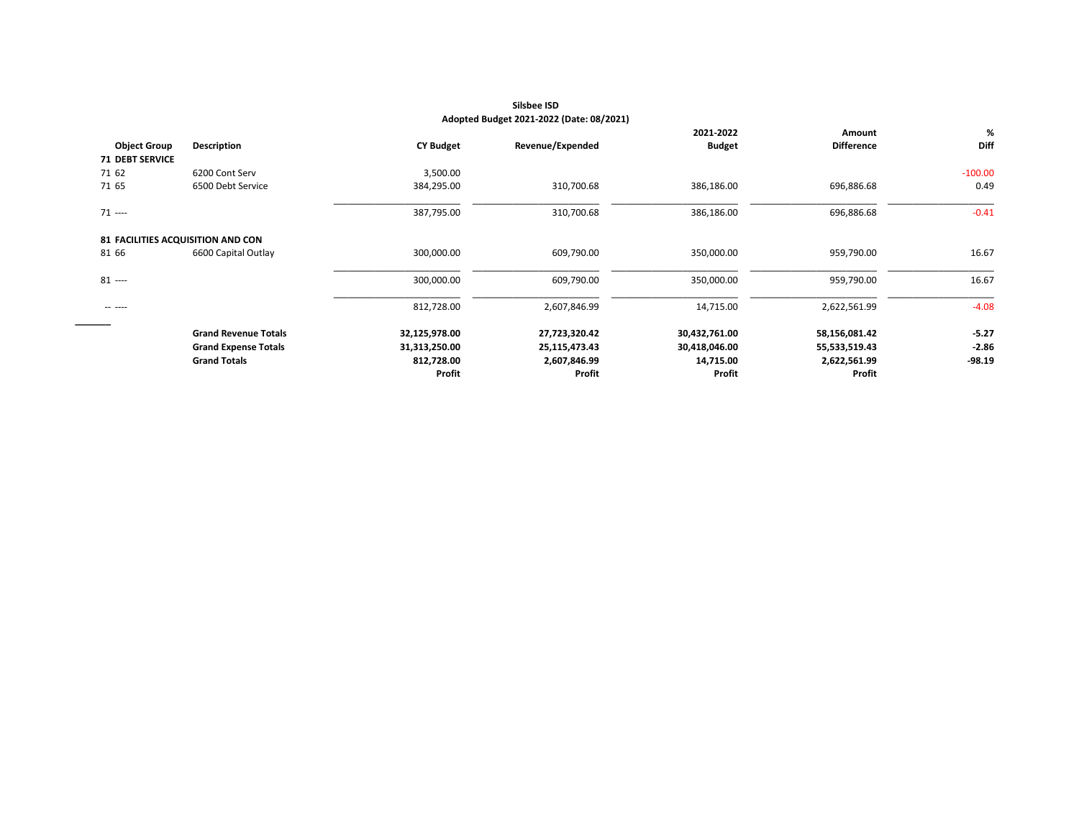|                                   |                             |                  |                  | 2021-2022     | Amount            |             |
|-----------------------------------|-----------------------------|------------------|------------------|---------------|-------------------|-------------|
| <b>Object Group</b>               | <b>Description</b>          | <b>CY Budget</b> | Revenue/Expended | <b>Budget</b> | <b>Difference</b> | <b>Diff</b> |
| <b>71 DEBT SERVICE</b>            |                             |                  |                  |               |                   |             |
| 71 62                             | 6200 Cont Serv              | 3,500.00         |                  |               |                   | $-100.00$   |
| 71 65                             | 6500 Debt Service           | 384,295.00       | 310,700.68       | 386,186.00    | 696,886.68        | 0.49        |
| $71$ ----                         |                             | 387,795.00       | 310,700.68       | 386,186.00    | 696,886.68        | $-0.41$     |
| 81 FACILITIES ACQUISITION AND CON |                             |                  |                  |               |                   |             |
| 81 66                             | 6600 Capital Outlay         | 300,000.00       | 609,790.00       | 350,000.00    | 959,790.00        | 16.67       |
| $81$ ----                         |                             | 300,000.00       | 609,790.00       | 350,000.00    | 959,790.00        | 16.67       |
| ------                            |                             | 812,728.00       | 2,607,846.99     | 14,715.00     | 2,622,561.99      | $-4.08$     |
| _______                           | <b>Grand Revenue Totals</b> | 32,125,978.00    | 27,723,320.42    | 30,432,761.00 | 58,156,081.42     |             |
|                                   | <b>Grand Expense Totals</b> | 31,313,250.00    | 25,115,473.43    | 30,418,046.00 | 55,533,519.43     |             |
|                                   | <b>Grand Totals</b>         | 812,728.00       | 2,607,846.99     | 14,715.00     | 2,622,561.99      | $-98.19$    |
|                                   |                             | Profit           | Profit           | Profit        | Profit            |             |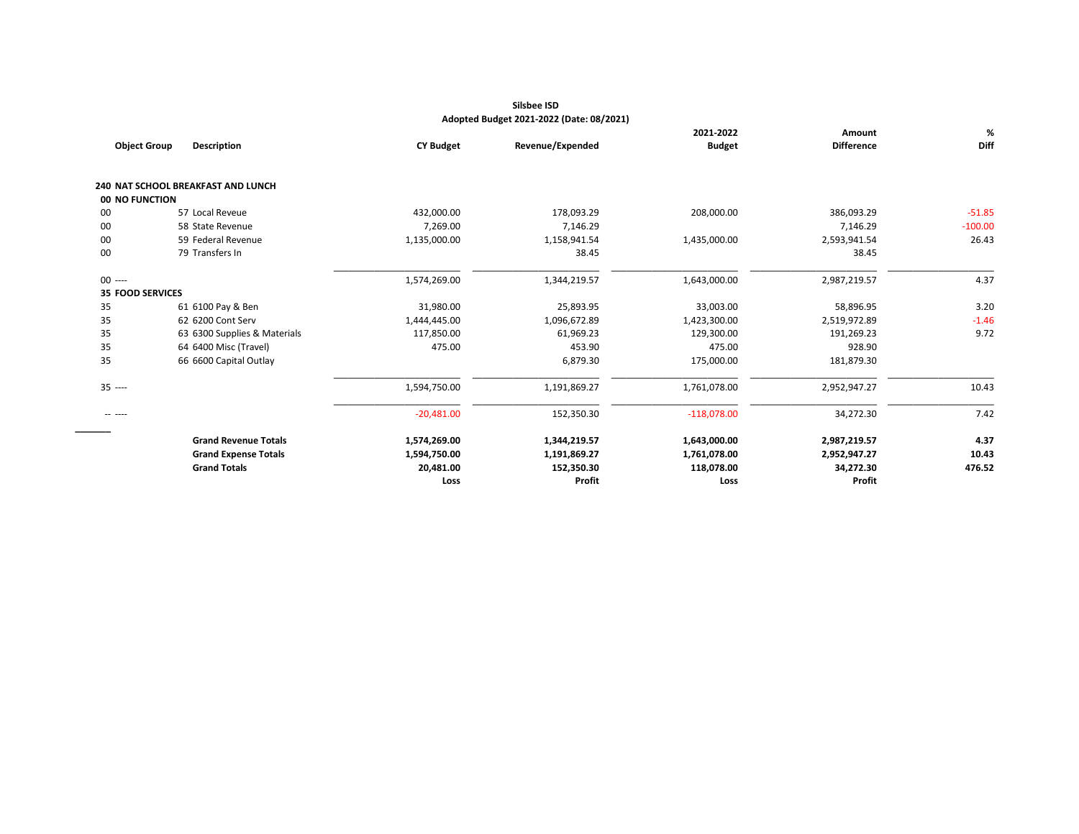|                                           |                                                    |                           | 2021-2022                               | Amount                     |                                                         |
|-------------------------------------------|----------------------------------------------------|---------------------------|-----------------------------------------|----------------------------|---------------------------------------------------------|
| <b>Description</b><br><b>Object Group</b> | <b>CY Budget</b>                                   | Revenue/Expended          | <b>Budget</b>                           | <b>Difference</b>          |                                                         |
| 240 NAT SCHOOL BREAKFAST AND LUNCH        |                                                    |                           |                                         |                            |                                                         |
| 00 NO FUNCTION                            |                                                    |                           |                                         |                            |                                                         |
| 57 Local Reveue                           | 432,000.00                                         | 178,093.29                | 208,000.00                              | 386,093.29                 | $-51.85$                                                |
| 58 State Revenue                          | 7,269.00                                           | 7,146.29                  |                                         | 7,146.29                   | $-100.00$                                               |
| 59 Federal Revenue                        | 1,135,000.00                                       | 1,158,941.54              | 1,435,000.00                            | 2,593,941.54               | 26.43                                                   |
| 79 Transfers In                           |                                                    | 38.45                     |                                         | 38.45                      |                                                         |
|                                           | 1,574,269.00                                       | 1,344,219.57              | 1,643,000.00                            | 2,987,219.57               |                                                         |
| 35 FOOD SERVICES                          |                                                    |                           |                                         |                            |                                                         |
| 61 6100 Pay & Ben                         | 31,980.00                                          | 25,893.95                 | 33,003.00                               | 58,896.95                  |                                                         |
| 62 6200 Cont Serv                         | 1,444,445.00                                       | 1,096,672.89              | 1,423,300.00                            | 2,519,972.89               |                                                         |
| 63 6300 Supplies & Materials              | 117,850.00                                         |                           | 129,300.00                              |                            |                                                         |
| 64 6400 Misc (Travel)                     | 475.00                                             | 453.90                    | 475.00                                  | 928.90                     |                                                         |
| 66 6600 Capital Outlay                    |                                                    | 6,879.30                  | 175,000.00                              | 181,879.30                 |                                                         |
|                                           | 1,594,750.00                                       | 1,191,869.27              | 1,761,078.00                            | 2,952,947.27               |                                                         |
|                                           | $-20,481.00$                                       | 152,350.30                | $-118,078.00$                           | 34,272.30                  |                                                         |
| <b>Grand Revenue Totals</b>               | 1,574,269.00                                       | 1,344,219.57              | 1,643,000.00                            |                            |                                                         |
|                                           |                                                    |                           |                                         |                            |                                                         |
|                                           |                                                    |                           |                                         |                            |                                                         |
|                                           | Loss                                               | Profit                    | Loss                                    | Profit                     |                                                         |
|                                           | <b>Grand Expense Totals</b><br><b>Grand Totals</b> | 1,594,750.00<br>20,481.00 | 61,969.23<br>1,191,869.27<br>152,350.30 | 1,761,078.00<br>118,078.00 | 191,269.23<br>2,987,219.57<br>2,952,947.27<br>34,272.30 |